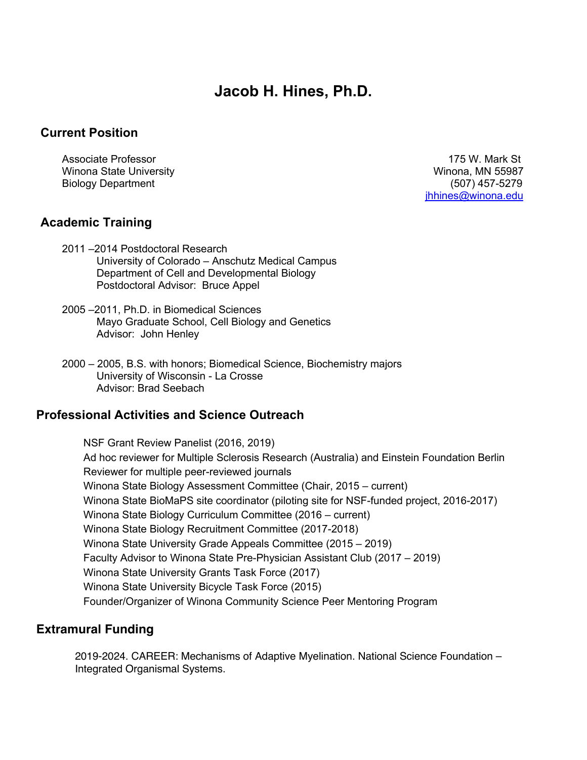# **Jacob H. Hines, Ph.D.**

### **Current Position**

Winona State University Winona, MN 55987 Biology Department (507) 457-5279

Associate Professor 175 W. Mark St jhhines@winona.edu

### **Academic Training**

- 2011 –2014 Postdoctoral Research University of Colorado – Anschutz Medical Campus Department of Cell and Developmental Biology Postdoctoral Advisor: Bruce Appel
- 2005 –2011, Ph.D. in Biomedical Sciences Mayo Graduate School, Cell Biology and Genetics Advisor: John Henley
- 2000 2005, B.S. with honors; Biomedical Science, Biochemistry majors University of Wisconsin - La Crosse Advisor: Brad Seebach

### **Professional Activities and Science Outreach**

NSF Grant Review Panelist (2016, 2019) Ad hoc reviewer for Multiple Sclerosis Research (Australia) and Einstein Foundation Berlin Reviewer for multiple peer-reviewed journals Winona State Biology Assessment Committee (Chair, 2015 – current) Winona State BioMaPS site coordinator (piloting site for NSF-funded project, 2016-2017) Winona State Biology Curriculum Committee (2016 – current) Winona State Biology Recruitment Committee (2017-2018) Winona State University Grade Appeals Committee (2015 – 2019) Faculty Advisor to Winona State Pre-Physician Assistant Club (2017 – 2019) Winona State University Grants Task Force (2017) Winona State University Bicycle Task Force (2015) Founder/Organizer of Winona Community Science Peer Mentoring Program

### **Extramural Funding**

2019-2024. CAREER: Mechanisms of Adaptive Myelination. National Science Foundation – Integrated Organismal Systems.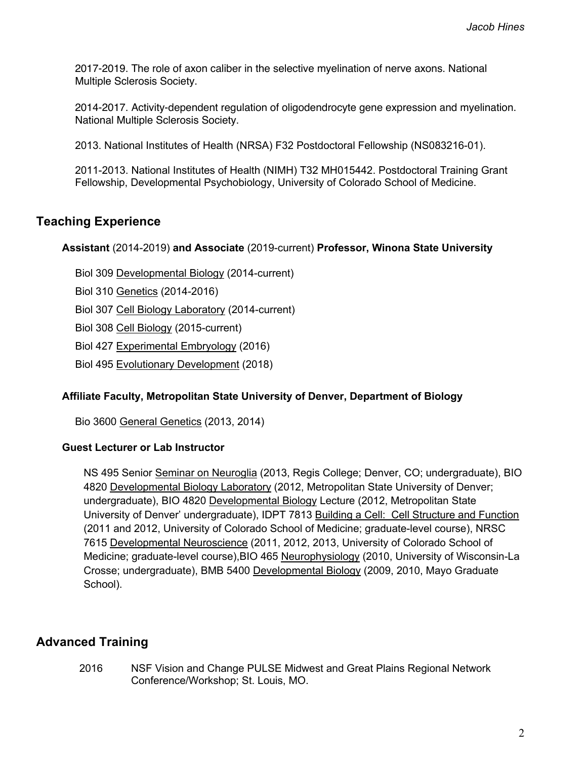2017-2019. The role of axon caliber in the selective myelination of nerve axons. National Multiple Sclerosis Society.

2014-2017. Activity-dependent regulation of oligodendrocyte gene expression and myelination. National Multiple Sclerosis Society.

2013. National Institutes of Health (NRSA) F32 Postdoctoral Fellowship (NS083216-01).

2011-2013. National Institutes of Health (NIMH) T32 MH015442. Postdoctoral Training Grant Fellowship, Developmental Psychobiology, University of Colorado School of Medicine.

# **Teaching Experience**

#### **Assistant** (2014-2019) **and Associate** (2019-current) **Professor, Winona State University**

Biol 309 Developmental Biology (2014-current)

Biol 310 Genetics (2014-2016)

Biol 307 Cell Biology Laboratory (2014-current)

Biol 308 Cell Biology (2015-current)

Biol 427 Experimental Embryology (2016)

Biol 495 Evolutionary Development (2018)

#### **Affiliate Faculty, Metropolitan State University of Denver, Department of Biology**

Bio 3600 General Genetics (2013, 2014)

#### **Guest Lecturer or Lab Instructor**

NS 495 Senior Seminar on Neuroglia (2013, Regis College; Denver, CO; undergraduate), BIO 4820 Developmental Biology Laboratory (2012, Metropolitan State University of Denver; undergraduate), BIO 4820 Developmental Biology Lecture (2012, Metropolitan State University of Denver' undergraduate), IDPT 7813 Building a Cell: Cell Structure and Function (2011 and 2012, University of Colorado School of Medicine; graduate-level course), NRSC 7615 Developmental Neuroscience (2011, 2012, 2013, University of Colorado School of Medicine; graduate-level course),BIO 465 Neurophysiology (2010, University of Wisconsin-La Crosse; undergraduate), BMB 5400 Developmental Biology (2009, 2010, Mayo Graduate School).

# **Advanced Training**

2016 NSF Vision and Change PULSE Midwest and Great Plains Regional Network Conference/Workshop; St. Louis, MO.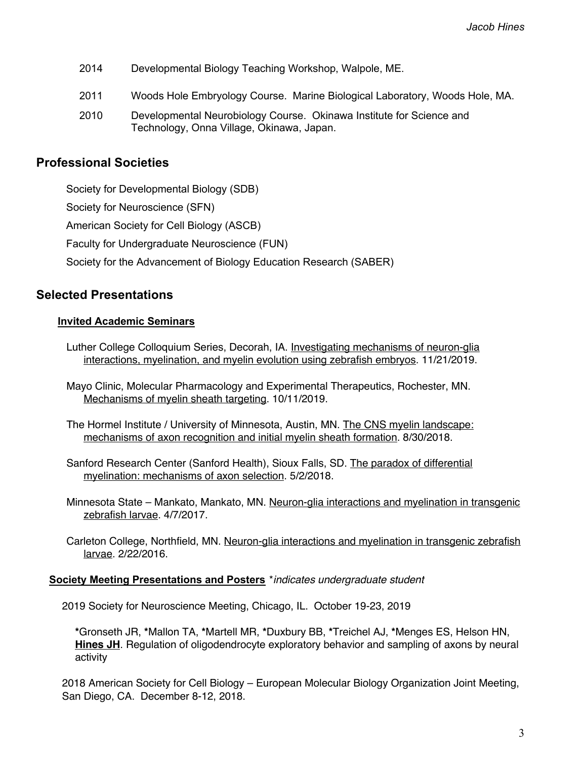- 2014 Developmental Biology Teaching Workshop, Walpole, ME.
- 2011 Woods Hole Embryology Course. Marine Biological Laboratory, Woods Hole, MA.
- 2010 Developmental Neurobiology Course. Okinawa Institute for Science and Technology, Onna Village, Okinawa, Japan.

# **Professional Societies**

Society for Developmental Biology (SDB) Society for Neuroscience (SFN) American Society for Cell Biology (ASCB) Faculty for Undergraduate Neuroscience (FUN) Society for the Advancement of Biology Education Research (SABER)

# **Selected Presentations**

### **Invited Academic Seminars**

Luther College Colloquium Series, Decorah, IA. Investigating mechanisms of neuron-glia interactions, myelination, and myelin evolution using zebrafish embryos. 11/21/2019.

Mayo Clinic, Molecular Pharmacology and Experimental Therapeutics, Rochester, MN. Mechanisms of myelin sheath targeting. 10/11/2019.

- The Hormel Institute / University of Minnesota, Austin, MN. The CNS myelin landscape: mechanisms of axon recognition and initial myelin sheath formation. 8/30/2018.
- Sanford Research Center (Sanford Health), Sioux Falls, SD. The paradox of differential myelination: mechanisms of axon selection. 5/2/2018.
- Minnesota State Mankato, Mankato, MN. Neuron-glia interactions and myelination in transgenic zebrafish larvae. 4/7/2017.
- Carleton College, Northfield, MN. Neuron-glia interactions and myelination in transgenic zebrafish larvae. 2/22/2016.

#### **Society Meeting Presentations and Posters** \**indicates undergraduate student*

2019 Society for Neuroscience Meeting, Chicago, IL. October 19-23, 2019

**\***Gronseth JR, **\***Mallon TA, **\***Martell MR, **\***Duxbury BB, **\***Treichel AJ, **\***Menges ES, Helson HN, **Hines JH**. Regulation of oligodendrocyte exploratory behavior and sampling of axons by neural activity

2018 American Society for Cell Biology – European Molecular Biology Organization Joint Meeting, San Diego, CA. December 8-12, 2018.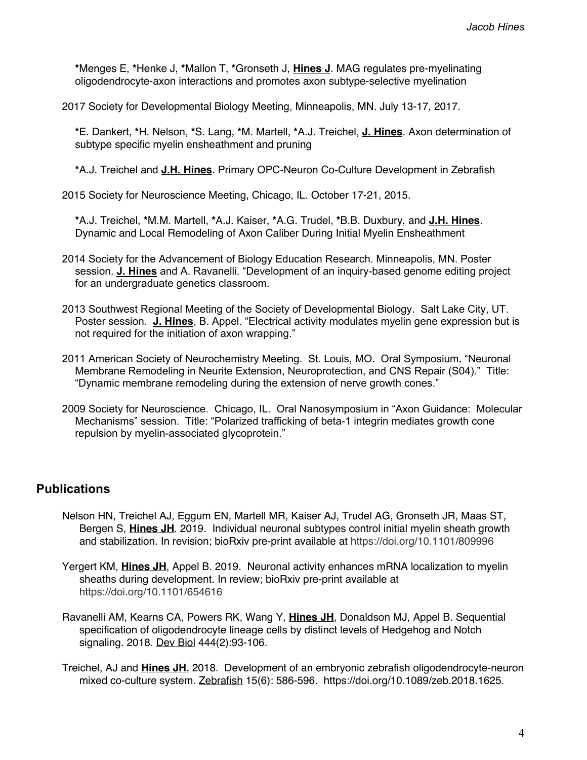**\***Menges E, **\***Henke J, **\***Mallon T, **\***Gronseth J, **Hines J**. MAG regulates pre-myelinating oligodendrocyte-axon interactions and promotes axon subtype-selective myelination

2017 Society for Developmental Biology Meeting, Minneapolis, MN. July 13-17, 2017.

**\***E. Dankert, **\***H. Nelson, **\***S. Lang, **\***M. Martell, **\***A.J. Treichel, **J. Hines**. Axon determination of subtype specific myelin ensheathment and pruning

**\***A.J. Treichel and **J.H. Hines**. Primary OPC-Neuron Co-Culture Development in Zebrafish

2015 Society for Neuroscience Meeting, Chicago, IL. October 17-21, 2015.

**\***A.J. Treichel, **\***M.M. Martell, **\***A.J. Kaiser, **\***A.G. Trudel, **\***B.B. Duxbury, and **J.H. Hines**. Dynamic and Local Remodeling of Axon Caliber During Initial Myelin Ensheathment

- 2014 Society for the Advancement of Biology Education Research. Minneapolis, MN. Poster session. **J. Hines** and A. Ravanelli. "Development of an inquiry-based genome editing project for an undergraduate genetics classroom.
- 2013 Southwest Regional Meeting of the Society of Developmental Biology. Salt Lake City, UT. Poster session. **J. Hines**, B. Appel. "Electrical activity modulates myelin gene expression but is not required for the initiation of axon wrapping."
- 2011 American Society of Neurochemistry Meeting. St. Louis, MO**.** Oral Symposium**.** "Neuronal Membrane Remodeling in Neurite Extension, Neuroprotection, and CNS Repair (S04)." Title: "Dynamic membrane remodeling during the extension of nerve growth cones."
- 2009 Society for Neuroscience. Chicago, IL. Oral Nanosymposium in "Axon Guidance: Molecular Mechanisms" session. Title: "Polarized trafficking of beta-1 integrin mediates growth cone repulsion by myelin-associated glycoprotein."

# **Publications**

- Nelson HN, Treichel AJ, Eggum EN, Martell MR, Kaiser AJ, Trudel AG, Gronseth JR, Maas ST, Bergen S, **Hines JH**. 2019. Individual neuronal subtypes control initial myelin sheath growth and stabilization. In revision; bioRxiv pre-print available at https://doi.org/10.1101/809996
- Yergert KM, **Hines JH**, Appel B. 2019. Neuronal activity enhances mRNA localization to myelin sheaths during development. In review; bioRxiv pre-print available at https://doi.org/10.1101/654616
- Ravanelli AM, Kearns CA, Powers RK, Wang Y, **Hines JH**, Donaldson MJ, Appel B. Sequential specification of oligodendrocyte lineage cells by distinct levels of Hedgehog and Notch signaling. 2018. Dev Biol 444(2):93-106.
- Treichel, AJ and **Hines JH.** 2018. Development of an embryonic zebrafish oligodendrocyte-neuron mixed co-culture system. Zebrafish 15(6): 586-596. https://doi.org/10.1089/zeb.2018.1625.